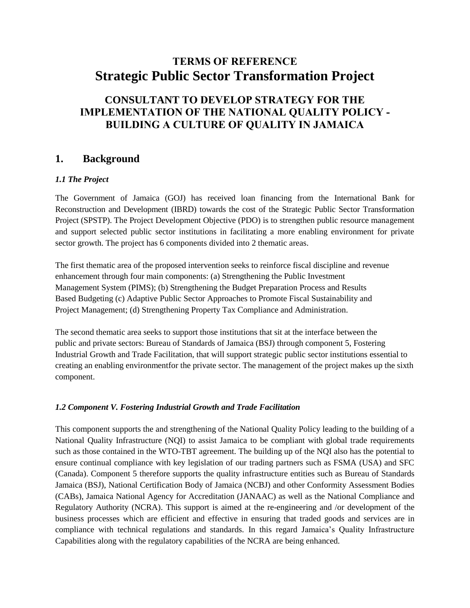# **TERMS OF REFERENCE Strategic Public Sector Transformation Project**

# **CONSULTANT TO DEVELOP STRATEGY FOR THE IMPLEMENTATION OF THE NATIONAL QUALITY POLICY - BUILDING A CULTURE OF QUALITY IN JAMAICA**

#### **1. Background**

#### *1.1 The Project*

The Government of Jamaica (GOJ) has received loan financing from the International Bank for Reconstruction and Development (IBRD) towards the cost of the Strategic Public Sector Transformation Project (SPSTP). The Project Development Objective (PDO) is to strengthen public resource management and support selected public sector institutions in facilitating a more enabling environment for private sector growth. The project has 6 components divided into 2 thematic areas.

The first thematic area of the proposed intervention seeks to reinforce fiscal discipline and revenue enhancement through four main components: (a) Strengthening the Public Investment Management System (PIMS); (b) Strengthening the Budget Preparation Process and Results Based Budgeting (c) Adaptive Public Sector Approaches to Promote Fiscal Sustainability and Project Management; (d) Strengthening Property Tax Compliance and Administration.

The second thematic area seeks to support those institutions that sit at the interface between the public and private sectors: Bureau of Standards of Jamaica (BSJ) through component 5, Fostering Industrial Growth and Trade Facilitation, that will support strategic public sector institutions essential to creating an enabling environmentfor the private sector. The management of the project makes up the sixth component.

#### *1.2 Component V. Fostering Industrial Growth and Trade Facilitation*

This component supports the and strengthening of the National Quality Policy leading to the building of a National Quality Infrastructure (NQI) to assist Jamaica to be compliant with global trade requirements such as those contained in the WTO-TBT agreement. The building up of the NQI also has the potential to ensure continual compliance with key legislation of our trading partners such as FSMA (USA) and SFC (Canada). Component 5 therefore supports the quality infrastructure entities such as Bureau of Standards Jamaica (BSJ), National Certification Body of Jamaica (NCBJ) and other Conformity Assessment Bodies (CABs), Jamaica National Agency for Accreditation (JANAAC) as well as the National Compliance and Regulatory Authority (NCRA). This support is aimed at the re-engineering and /or development of the business processes which are efficient and effective in ensuring that traded goods and services are in compliance with technical regulations and standards. In this regard Jamaica's Quality Infrastructure Capabilities along with the regulatory capabilities of the NCRA are being enhanced.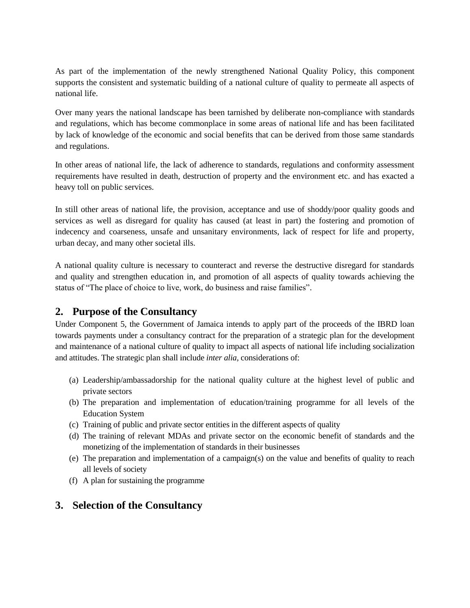As part of the implementation of the newly strengthened National Quality Policy, this component supports the consistent and systematic building of a national culture of quality to permeate all aspects of national life.

Over many years the national landscape has been tarnished by deliberate non-compliance with standards and regulations, which has become commonplace in some areas of national life and has been facilitated by lack of knowledge of the economic and social benefits that can be derived from those same standards and regulations.

In other areas of national life, the lack of adherence to standards, regulations and conformity assessment requirements have resulted in death, destruction of property and the environment etc. and has exacted a heavy toll on public services.

In still other areas of national life, the provision, acceptance and use of shoddy/poor quality goods and services as well as disregard for quality has caused (at least in part) the fostering and promotion of indecency and coarseness, unsafe and unsanitary environments, lack of respect for life and property, urban decay, and many other societal ills.

A national quality culture is necessary to counteract and reverse the destructive disregard for standards and quality and strengthen education in, and promotion of all aspects of quality towards achieving the status of "The place of choice to live, work, do business and raise families".

## **2. Purpose of the Consultancy**

Under Component 5, the Government of Jamaica intends to apply part of the proceeds of the IBRD loan towards payments under a consultancy contract for the preparation of a strategic plan for the development and maintenance of a national culture of quality to impact all aspects of national life including socialization and attitudes. The strategic plan shall include *inter alia,* considerations of:

- (a) Leadership/ambassadorship for the national quality culture at the highest level of public and private sectors
- (b) The preparation and implementation of education/training programme for all levels of the Education System
- (c) Training of public and private sector entities in the different aspects of quality
- (d) The training of relevant MDAs and private sector on the economic benefit of standards and the monetizing of the implementation of standards in their businesses
- (e) The preparation and implementation of a campaign(s) on the value and benefits of quality to reach all levels of society
- (f) A plan for sustaining the programme

## **3. Selection of the Consultancy**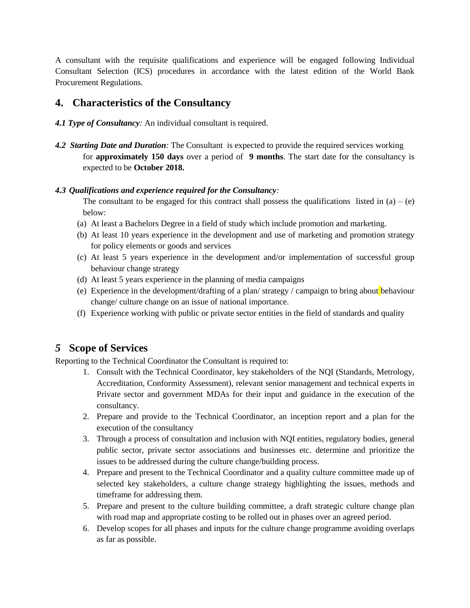A consultant with the requisite qualifications and experience will be engaged following Individual Consultant Selection (ICS) procedures in accordance with the latest edition of the World Bank Procurement Regulations.

#### **4. Characteristics of the Consultancy**

- *4.1 Type of Consultancy:* An individual consultant is required.
- *4.2 Starting Date and Duration:* The Consultant is expected to provide the required services working for **approximately 150 days** over a period of **9 months**. The start date for the consultancy is expected to be **October 2018.**

#### *4.3 Qualifications and experience required for the Consultancy:*

The consultant to be engaged for this contract shall possess the qualifications listed in (a) – (e) below:

- (a) At least a Bachelors Degree in a field of study which include promotion and marketing.
- (b) At least 10 years experience in the development and use of marketing and promotion strategy for policy elements or goods and services
- (c) At least 5 years experience in the development and/or implementation of successful group behaviour change strategy
- (d) At least 5 years experience in the planning of media campaigns
- (e) Experience in the development/drafting of a plan/ strategy / campaign to bring about behaviour change/ culture change on an issue of national importance.
- (f) Experience working with public or private sector entities in the field of standards and quality

## *5* **Scope of Services**

Reporting to the Technical Coordinator the Consultant is required to:

- 1. Consult with the Technical Coordinator, key stakeholders of the NQI (Standards, Metrology, Accreditation, Conformity Assessment), relevant senior management and technical experts in Private sector and government MDAs for their input and guidance in the execution of the consultancy.
- 2. Prepare and provide to the Technical Coordinator, an inception report and a plan for the execution of the consultancy
- 3. Through a process of consultation and inclusion with NQI entities, regulatory bodies, general public sector, private sector associations and businesses etc. determine and prioritize the issues to be addressed during the culture change/building process.
- 4. Prepare and present to the Technical Coordinator and a quality culture committee made up of selected key stakeholders, a culture change strategy highlighting the issues, methods and timeframe for addressing them.
- 5. Prepare and present to the culture building committee, a draft strategic culture change plan with road map and appropriate costing to be rolled out in phases over an agreed period.
- 6. Develop scopes for all phases and inputs for the culture change programme avoiding overlaps as far as possible.